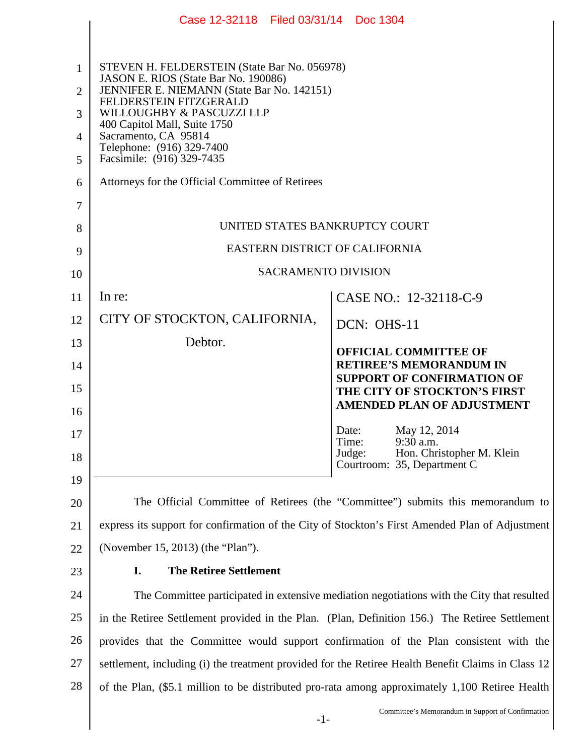|                | Case 12-32118 Filed 03/31/14 Doc 1304                                                              |  |  |  |
|----------------|----------------------------------------------------------------------------------------------------|--|--|--|
|                |                                                                                                    |  |  |  |
| 1              | STEVEN H. FELDERSTEIN (State Bar No. 056978)<br>JASON E. RIOS (State Bar No. 190086)               |  |  |  |
| $\overline{2}$ | JENNIFER E. NIEMANN (State Bar No. 142151)<br>FELDERSTEIN FITZGERALD                               |  |  |  |
| 3              | WILLOUGHBY & PASCUZZI LLP<br>400 Capitol Mall, Suite 1750                                          |  |  |  |
| 4              | Sacramento, CA 95814<br>Telephone: (916) 329-7400                                                  |  |  |  |
| 5              | Facsimile: (916) 329-7435                                                                          |  |  |  |
| 6              | Attorneys for the Official Committee of Retirees                                                   |  |  |  |
| 7              |                                                                                                    |  |  |  |
| 8              | UNITED STATES BANKRUPTCY COURT                                                                     |  |  |  |
| 9              | EASTERN DISTRICT OF CALIFORNIA                                                                     |  |  |  |
| 10             | <b>SACRAMENTO DIVISION</b>                                                                         |  |  |  |
| 11             | In re:<br>CASE NO.: 12-32118-C-9                                                                   |  |  |  |
| 12             | CITY OF STOCKTON, CALIFORNIA,<br>DCN: OHS-11                                                       |  |  |  |
| 13             | Debtor.<br><b>OFFICIAL COMMITTEE OF</b>                                                            |  |  |  |
| 14             | <b>RETIREE'S MEMORANDUM IN</b><br><b>SUPPORT OF CONFIRMATION OF</b>                                |  |  |  |
| 15             | THE CITY OF STOCKTON'S FIRST                                                                       |  |  |  |
| 16             | <b>AMENDED PLAN OF ADJUSTMENT</b>                                                                  |  |  |  |
| 17             | May 12, 2014<br>Date:<br>Time:<br>9:30 a.m.                                                        |  |  |  |
| 18             | Hon. Christopher M. Klein<br>Judge:<br>Courtroom: 35, Department C                                 |  |  |  |
| 19             |                                                                                                    |  |  |  |
| 20             | The Official Committee of Retirees (the "Committee") submits this memorandum to                    |  |  |  |
| 21             | express its support for confirmation of the City of Stockton's First Amended Plan of Adjustment    |  |  |  |
| 22             | (November 15, 2013) (the "Plan").                                                                  |  |  |  |
| 23             | <b>The Retiree Settlement</b><br>I.                                                                |  |  |  |
| 24             | The Committee participated in extensive mediation negotiations with the City that resulted         |  |  |  |
| 25             | in the Retiree Settlement provided in the Plan. (Plan, Definition 156.) The Retiree Settlement     |  |  |  |
| 26             | provides that the Committee would support confirmation of the Plan consistent with the             |  |  |  |
| 27             | settlement, including (i) the treatment provided for the Retiree Health Benefit Claims in Class 12 |  |  |  |
| 28             | of the Plan, (\$5.1 million to be distributed pro-rata among approximately 1,100 Retiree Health    |  |  |  |
|                | Committee's Memorandum in Support of Confirmation<br>$-1-$                                         |  |  |  |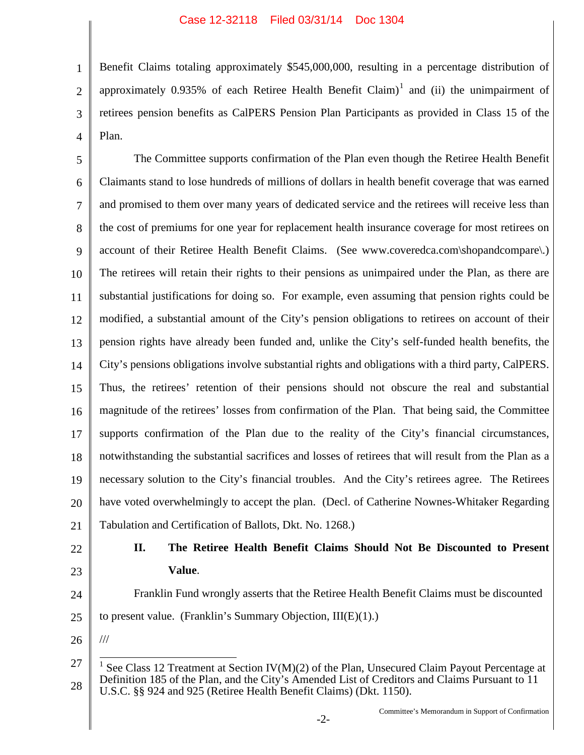Benefit Claims totaling approximately \$545,000,000, resulting in a percentage distribution of approximately 0.935% of each Retiree Health Benefit Claim)<sup>1</sup> and (ii) the unimpairment of retirees pension benefits as CalPERS Pension Plan Participants as provided in Class 15 of the Plan.

5 6 7 8 9 10 11 12 13 14 15 16 17 18 19 20 21 The Committee supports confirmation of the Plan even though the Retiree Health Benefit Claimants stand to lose hundreds of millions of dollars in health benefit coverage that was earned and promised to them over many years of dedicated service and the retirees will receive less than the cost of premiums for one year for replacement health insurance coverage for most retirees on account of their Retiree Health Benefit Claims. (See www.coveredca.com\shopandcompare\.) The retirees will retain their rights to their pensions as unimpaired under the Plan, as there are substantial justifications for doing so. For example, even assuming that pension rights could be modified, a substantial amount of the City's pension obligations to retirees on account of their pension rights have already been funded and, unlike the City's self-funded health benefits, the City's pensions obligations involve substantial rights and obligations with a third party, CalPERS. Thus, the retirees' retention of their pensions should not obscure the real and substantial magnitude of the retirees' losses from confirmation of the Plan. That being said, the Committee supports confirmation of the Plan due to the reality of the City's financial circumstances, notwithstanding the substantial sacrifices and losses of retirees that will result from the Plan as a necessary solution to the City's financial troubles. And the City's retirees agree. The Retirees have voted overwhelmingly to accept the plan. (Decl. of Catherine Nownes-Whitaker Regarding Tabulation and Certification of Ballots, Dkt. No. 1268.)

22

23

1

2

3

4

- **II. The Retiree Health Benefit Claims Should Not Be Discounted to Present Value**.
- 24 Franklin Fund wrongly asserts that the Retiree Health Benefit Claims must be discounted
- 25 to present value. (Franklin's Summary Objection, III(E)(1).)
- 26

///

<sup>27</sup> 28 <sup>1</sup> See Class 12 Treatment at Section IV(M)(2) of the Plan, Unsecured Claim Payout Percentage at Definition 185 of the Plan, and the City's Amended List of Creditors and Claims Pursuant to 11 U.S.C. §§ 924 and 925 (Retiree Health Benefit Claims) (Dkt. 1150).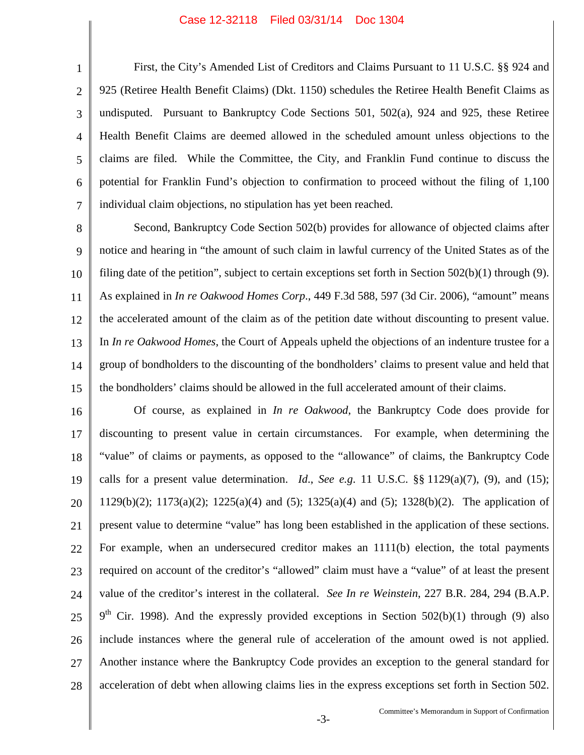## Case 12-32118 Filed 03/31/14 Doc 1304

1

2

3

4

5

6

7

First, the City's Amended List of Creditors and Claims Pursuant to 11 U.S.C. §§ 924 and 925 (Retiree Health Benefit Claims) (Dkt. 1150) schedules the Retiree Health Benefit Claims as undisputed. Pursuant to Bankruptcy Code Sections 501, 502(a), 924 and 925, these Retiree Health Benefit Claims are deemed allowed in the scheduled amount unless objections to the claims are filed. While the Committee, the City, and Franklin Fund continue to discuss the potential for Franklin Fund's objection to confirmation to proceed without the filing of 1,100 individual claim objections, no stipulation has yet been reached.

8 9 10 11 12 13 14 15 Second, Bankruptcy Code Section 502(b) provides for allowance of objected claims after notice and hearing in "the amount of such claim in lawful currency of the United States as of the filing date of the petition", subject to certain exceptions set forth in Section  $502(b)(1)$  through (9). As explained in *In re Oakwood Homes Corp*., 449 F.3d 588, 597 (3d Cir. 2006), "amount" means the accelerated amount of the claim as of the petition date without discounting to present value. In *In re Oakwood Homes*, the Court of Appeals upheld the objections of an indenture trustee for a group of bondholders to the discounting of the bondholders' claims to present value and held that the bondholders' claims should be allowed in the full accelerated amount of their claims.

16 17 18 19 20 21 22 23 24 25 26 27 28 Of course, as explained in *In re Oakwood*, the Bankruptcy Code does provide for discounting to present value in certain circumstances. For example, when determining the "value" of claims or payments, as opposed to the "allowance" of claims, the Bankruptcy Code calls for a present value determination. *Id*., *See e.g*. 11 U.S.C. §§ 1129(a)(7), (9), and (15); 1129(b)(2); 1173(a)(2); 1225(a)(4) and (5); 1325(a)(4) and (5); 1328(b)(2). The application of present value to determine "value" has long been established in the application of these sections. For example, when an undersecured creditor makes an 1111(b) election, the total payments required on account of the creditor's "allowed" claim must have a "value" of at least the present value of the creditor's interest in the collateral. *See In re Weinstein*, 227 B.R. 284, 294 (B.A.P.  $9<sup>th</sup>$  Cir. 1998). And the expressly provided exceptions in Section 502(b)(1) through (9) also include instances where the general rule of acceleration of the amount owed is not applied. Another instance where the Bankruptcy Code provides an exception to the general standard for acceleration of debt when allowing claims lies in the express exceptions set forth in Section 502.

-3- Committee's Memorandum in Support of Confirmation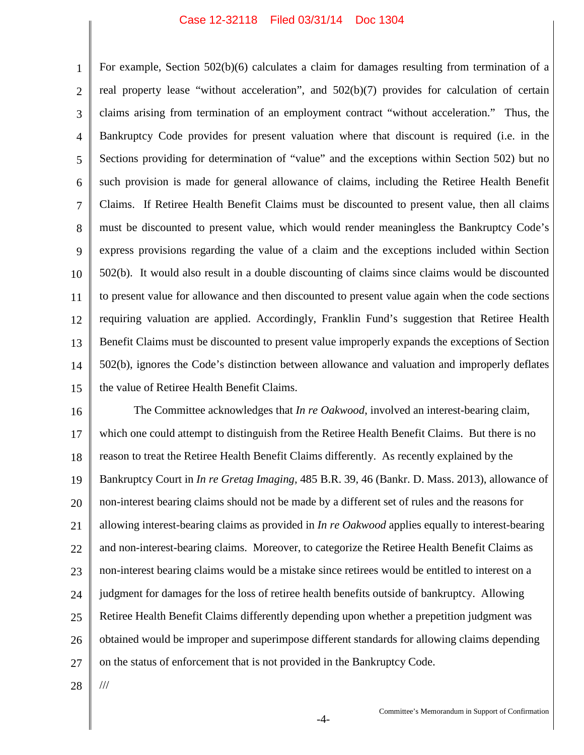## Case 12-32118 Filed 03/31/14 Doc 1304

1 2 3 4 5 6 7 8 9 10 11 12 13 14 15 For example, Section 502(b)(6) calculates a claim for damages resulting from termination of a real property lease "without acceleration", and 502(b)(7) provides for calculation of certain claims arising from termination of an employment contract "without acceleration." Thus, the Bankruptcy Code provides for present valuation where that discount is required (i.e. in the Sections providing for determination of "value" and the exceptions within Section 502) but no such provision is made for general allowance of claims, including the Retiree Health Benefit Claims. If Retiree Health Benefit Claims must be discounted to present value, then all claims must be discounted to present value, which would render meaningless the Bankruptcy Code's express provisions regarding the value of a claim and the exceptions included within Section 502(b). It would also result in a double discounting of claims since claims would be discounted to present value for allowance and then discounted to present value again when the code sections requiring valuation are applied. Accordingly, Franklin Fund's suggestion that Retiree Health Benefit Claims must be discounted to present value improperly expands the exceptions of Section 502(b), ignores the Code's distinction between allowance and valuation and improperly deflates the value of Retiree Health Benefit Claims.

16 17 18 19 20 21 22 23 24 25 26 27 The Committee acknowledges that *In re Oakwood*, involved an interest-bearing claim, which one could attempt to distinguish from the Retiree Health Benefit Claims. But there is no reason to treat the Retiree Health Benefit Claims differently. As recently explained by the Bankruptcy Court in *In re Gretag Imaging,* 485 B.R. 39, 46 (Bankr. D. Mass. 2013), allowance of non-interest bearing claims should not be made by a different set of rules and the reasons for allowing interest-bearing claims as provided in *In re Oakwood* applies equally to interest-bearing and non-interest-bearing claims. Moreover, to categorize the Retiree Health Benefit Claims as non-interest bearing claims would be a mistake since retirees would be entitled to interest on a judgment for damages for the loss of retiree health benefits outside of bankruptcy. Allowing Retiree Health Benefit Claims differently depending upon whether a prepetition judgment was obtained would be improper and superimpose different standards for allowing claims depending on the status of enforcement that is not provided in the Bankruptcy Code.

28

///